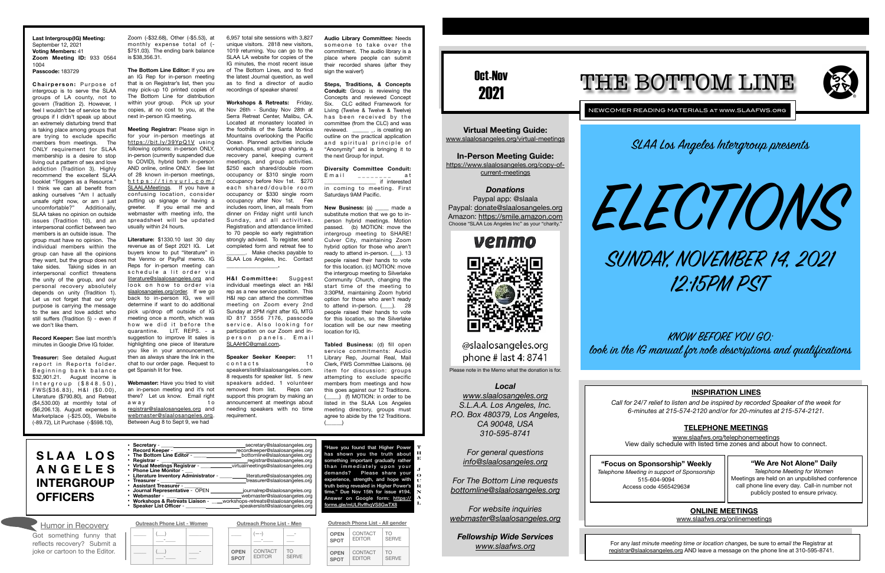SLAA Los Angeles Intergroup presents

ELECTIONS

SUNDAY, NOVEMBER 14, 2021 12:15PM PST

KNOW BEFORE YOU GO: look in the IG manual for role descriptions and qualifications

# Oct-Nov 2021

NEWCOMER READING MATERIALS at www.SLAAFWS.org

**Virtual Meeting Guide:**  [www.slaalosangeles.org/virtual-meetings](http://www.slaalosangeles.org/virtual-meetings)

**In-Person Meeting Guide:**  [https://www.slaalosangeles.org/copy-of](https://www.slaalosangeles.org/copy-of-current-meetings)[current-meetings](https://www.slaalosangeles.org/copy-of-current-meetings)





@slaalosangeles.org phone # last 4: 8741

Please note in the Memo what the donation is for.

#### *Local*

*[www.slaalosangeles.org](http://www.slaalosangeles.org) S.L.A.A. Los Angeles, Inc. P.O. Box 480379, Los Angeles, CA 90048, USA 310-595-8741* 

*For general questions [info@slaalosangeles.org](mailto:info@slaalosangeles.org)*

*For The Bottom Line requests [bottomline@slaalosangeles.org](mailto:bottomline@slaalosangeles.org)*

*For website inquiries [webmaster@slaalosangeles.org](mailto:webmaster@slaalosangeles.org)*

*Fellowship Wide Services [www.slaafws.org](http://www.slaafws.org)*

**"Focus on Sponsorship" Weekly** *Telephone Meeting in support of Sponsorship*  515-604-9094 Access code 456542963#

For any *last minute meeting time or location changes,* be sure to *email the* Registrar at [registrar@slaalosangeles.org](mailto:registrar@slaalosangeles.org) AND leave a message on the phone line at 310-595-8741.





**Chairperson:** Purpose of intergroup is to serve the SLAA groups of LA county, not to govern (Tradition 2). However, I feel I wouldn't be of service to the groups if I didn't speak up about an extremely disturbing trend that is taking place among groups that are trying to exclude specific members from meetings. The ONLY requirement for SLAA membership is a desire to stop living out a pattern of sex and love addiction (Tradition 3). Highly recommend the excellent SLAA booklet "Triggers as a Resource." I think we can all benefit from asking ourselves "Am I actually unsafe right now, or am I just uncomfortable?" Additionally, SLAA takes no opinion on outside issues (Tradition 10), and an interpersonal conflict between two members is an outside issue. The group must have no opinion. The individual members within the group can have all the opinions they want, but the group does not take sides. Taking sides in an interpersonal conflict threatens the unity of the group, and our personal recovery absolutely depends on unity (Tradition 1). Let us not forget that our only purpose is carrying the message to the sex and love addict who still suffers (Tradition 5) - even if we don't like them.

**Last Intergroup(IG) Meeting:**  September 12, 2021 **Voting Members:** 41 **Zoom Meeting ID:** 933 0564 1004 **Passcode:** 183729

> Webmaster: Have you tried to visit an in-person meeting and it's not there? Let us know. Email right a w a y t o [registrar@slaalosangeles.org](mailto:registrar@slaalosangeles.org) and [webmaster@slaalosangeles.org](mailto:webmaster@slaalosangeles.org). Between Aug 8 to Sept 9, we had

> > $(\_\_)$  $\overline{\phantom{a}}$

 $(\_\_)$  $\overline{\phantom{a}}$ 

**Record Keeper:** See last month's minutes in Google Drive IG folder.

**Treasurer:** See detailed August report in Reports folder. Beginning bank balance \$32,901.21. August income is  $Intergroup ( $848.50),$  $FWS ($36.83), H81 ($0.00),$ Literature (\$790.80), and Retreat (\$4,530.00) at monthly total of (\$6,206.13). August expenses is Marketplace (-\$25.00), Website (-89.72), Lit Purchase (-\$598.10),

Zoom (-\$32.68), Other (-\$5.53), at monthly expense total of (- \$751.03). The ending bank balance is \$38,356.31.

**Audio Library Committee:** Needs someone to take over the commitment. The audio library is a place where people can submit their recorded shares (after they sign the waiver!)

**The Bottom Line Editor:** If you are an IG Rep for in-person meeting that is on Registrar's list, then you may pick-up 10 printed copies of The Bottom Line for distribution within your group. Pick up your copies, at no cost to you, at the next in-person IG meeting.

> **Diversity Committee Conduit:**  E m a i l \_ \_ \_ \_ \_ \_ \_ \_ a t  $\overline{\text{if}}$  interested

**Meeting Registrar:** Please sign in for your in-person meetings at <https://bit.ly/39YpQ1V>using following options: in-person ONLY, in-person (currently suspended due to COVID), hybrid both in-person AND online, online ONLY. See list of 28 known in-person meetings, [https://tinyurl.com/](https://tinyurl.com/SLAALAMeetings) [SLAALAMeetings](https://tinyurl.com/SLAALAMeetings). If you have a confusing location, consider putting up signage or having a greeter. If you email me and webmaster with meeting info, the spreadsheet will be updated usually within 24 hours.

> **Tabled Business:** (d) fill open service commitments: Audio Library Rep, Journal Real, Mail Clerk, FWS Committee Liaisons. (e) item for discussion: groups attempting to exclude specific members from meetings and how this goes against our 12 Traditions. (\_\_\_\_\_) (f) MOTION: in order to be listed in the SLAA Los Angeles meeting directory, groups must agree to abide by the 12 Traditions.  $\qquad \qquad \Box$

**Literature:** \$1330.10 last 30 day revenue as of Sept 2021 IG. Let buyers know to put "literature" in the Venmo or PayPal memo. IG Reps for in-person meeting can schedule a lit order via [literature@slaalosangeles.org](mailto:literature@slaalosangeles.org) and look on how to order via [slaalosangeles.org/order.](http://slaalosangeles.org/order) If we go back to in-person IG, we will determine if want to do additional pick up/drop off outside of IG meeting once a month, which was how we did it before the quarantine. LIT. REPS. - a suggestion to improve lit sales is highlighting one piece of literature you like in your announcement, then as always share the link in the chat to our order page. Request to get Spanish lit for free.

| ----<br><b>ANGELES</b><br><b>INTERGROUP</b><br><b>OFFICERS</b> | <b>Registrar</b> -<br>Virtual Meetings Registrar -<br><b>Phone Line Monitor -</b><br><b>Literature Inventory Administrator -</b><br>Treasurer -<br><b>Assistant Treasurer -</b><br>Journal Representative - OPEN<br>Webmaster -<br><b>Workshops &amp; Retreats Liaison -</b><br>Speaker List Officer - The List of The List | registrar@slaalosangeles.org<br>virtualmeetings@slaalosangeles.org<br>literature@slaalosangeles.org<br>treasurer@slaalosangeles.org<br>journalrep@slaalosangeles.org<br>webmaster@slaalosangeles.org<br>workshops-retreats@slaalosangeles.org<br>_speakerslist@slaalosangeles.org | something important gradually rath<br>than immediately upon you<br>demands? Please share yo<br>experience, strength, and hope wi<br>truth being revealed in Higher Power<br>time." Due Nov 15th for issue #19<br>Answer on Google form: https:<br>forms.gle/mULRvffhgVS8GwTX8 |
|----------------------------------------------------------------|-----------------------------------------------------------------------------------------------------------------------------------------------------------------------------------------------------------------------------------------------------------------------------------------------------------------------------|-----------------------------------------------------------------------------------------------------------------------------------------------------------------------------------------------------------------------------------------------------------------------------------|-------------------------------------------------------------------------------------------------------------------------------------------------------------------------------------------------------------------------------------------------------------------------------|
| Humor in Recovery                                              | <b>Outreach Phone List - Women</b>                                                                                                                                                                                                                                                                                          | <b>Outreach Phone List - Men</b>                                                                                                                                                                                                                                                  | Outreach Phone List - All gender                                                                                                                                                                                                                                              |

 $\overline{\phantom{a}}$ 

 $\overline{\phantom{a}}$  $\overline{\phantom{a}}$ 

**CONTACT** EDITOR

TO **SERVE** 

6,957 total site sessions with 3,827 unique visitors. 2818 new visitors, 1019 returning. You can go to the SLAA LA website for copies of the IG minutes, the most recent issue of The Bottom Lines, and to find the latest Journal question, as well as to find a director of audio recordings of speaker shares!

| demands? Please share your<br>experience, strength, and hope with<br>truth being revealed in Higher Power's<br>time." Due Nov 15th for issue #194.<br>Answer on Google form: https:// | т<br>Ħ<br>Е<br>J.<br>Ō<br>Ū<br>R<br>N<br>A |
|---------------------------------------------------------------------------------------------------------------------------------------------------------------------------------------|--------------------------------------------|
| forms.gle/mULRvffhgVS8GwTX8                                                                                                                                                           | т.                                         |

**Workshops & Retreats:** Friday, Nov 26th - Sunday Nov 28th at Serra Retreat Center, Malibu, CA. Located at monastery located in the foothills of the Santa Monica Mountains overlooking the Pacific Ocean. Planned activities include workshops, small group sharing, a recovery panel, keeping current meetings, and group activities. \$250 each shared/double room occupancy or \$310 single room occupancy before Nov 1st. \$270 each shared/double room occupancy or \$330 single room occupancy after Nov 1st. Fee includes room, linen, all meals from dinner on Friday night until lunch Sunday, and all activities. Registration and attendance limited to 70 people so early registration strongly advised. To register, send completed form and retreat fee to Make checks payable to SLAA Los Angeles, Inc. Contact \_\_\_\_\_\_\_\_\_\_\_\_\_\_\_\_\_\_\_**.** 

**H&I Committee:** Suggest individual meetings elect an H&I rep as a new service position. This H&I rep can attend the committee meeting on Zoom every 2nd Sunday at 2PM right after IG, MTG ID 817 3556 7176, passcode service. Also looking for participation on our Zoom and inperson panels. Email [SLAAHIC@gmail.com](mailto:SLAAHIC@gmail.com)**.** 

**Speaker Seeker Keeper:** 11 contacts to speakerslist@slaalosangeles.com. 8 requests for speaker list. 5 new speakers added. 1 volunteer removed from list. Reps can support this program by making an announcement at meetings about needing speakers with no time requirement.

> $(- -)$  $\overline{\phantom{a}}$

**Steps, Traditions, & Concepts Conduit:** Group is reviewing the Concepts and reviewed Concept Six. CLC edited Framework for Living (Twelve & Twelve & Twelve) has been received by the committee (from the CLC) and was reviewed. \_\_\_\_\_\_ \_. is creating an outline on the practical application and spiritual principle of "Anonymity" and is bringing it to the next Group for input.

in coming to meeting. First Saturdays 9AM Pacific.

**New Business:** (a) \_\_\_\_\_ made a substitute motion that we go to inperson hybrid meetings. Motion passed. (b) MOTION: move the intergroup meeting to SHARE! Culver City, maintaining Zoom hybrid option for those who aren't ready to attend in-person. ( \_\_\_). 13 people raised their hands to vote for this location. (c) MOTION: move the intergroup meeting to Silverlake Community Church, changing the start time of the meeting to 3:30PM, maintaining Zoom hybrid option for those who aren't ready to attend in-person. (\_\_\_\_). 28 people raised their hands to vote for this location, so the Silverlake location will be our new meeting location for IG.

| • Secretary - _                        | secretary@slaalosangeles.org          |
|----------------------------------------|---------------------------------------|
| • Record Keeper -                      | recordkeeper@slaalosangeles.org       |
| • The Bottom Line Editor -             | bottomline@slaalosangeles.org         |
| • Registrar -                          | registrar@slaalosangeles.org          |
| • Virtual Meetings Registrar -         | virtualmeetings@slaalosangeles.org    |
| • Phone Line Monitor -                 |                                       |
| • Literature Inventory Administrator - | literature@slaalosangeles.org         |
| • Treasurer -                          | treasurer@slaalosangeles.org          |
| • Assistant Treasurer -                |                                       |
| · Journal Representative - OPEN        | journalrep@slaalosangeles.org         |
| • Webmaster -                          | webmaster@slaalosangeles.org          |
| • Workshops & Retreats Liaison -       | workshops-retreats@slaalosangeles.org |
| • Snaakar Liet Afficar -               | engakareliet@elaaloeangalge.org       |

**OPEN SPOT**

 $\overline{\phantom{a}}$  $\overline{\phantom{a}}$ 

| <b>OPEN</b> | CONTACT       | TO           |
|-------------|---------------|--------------|
| <b>SPOT</b> | <b>EDITOR</b> | <b>SFRVF</b> |
| <b>OPEN</b> | CONTACT       | TO           |
| <b>SPOT</b> | <b>EDITOR</b> | <b>SFRVF</b> |

Got something funny that reflects recovery? Submit a joke or cartoon to the Editor.



#### **INSPIRATION LINES**

*Call for 24/7 relief to listen and be inspired by recorded Speaker of the week for 6-minutes at 215-574-2120 and/or for 20-minutes at 215-574-2121.* 

#### **TELEPHONE MEETINGS**

[www.slaafws.org/telephonemeetings](http://www.slaafws.org/telephonemeetings) View daily schedule with listed time zones and about how to connect.

## **ONLINE MEETINGS**

[www.slaafws.org/onlinemeetings](http://www.slaafws.org/onlinemeetings)

### **"We Are Not Alone" Daily**

*Telephone Meeting for Women*  Meetings are held on an unpublished conference call phone line every day. Call-in number not publicly posted to ensure privacy.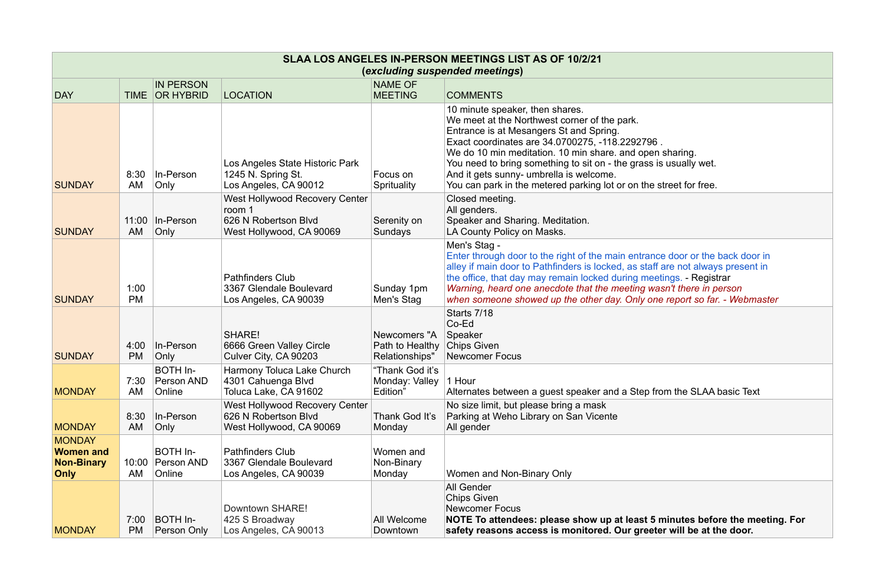|                                                                       | <b>SLAA LOS ANGELES IN-PERSON MEETINGS LIST AS OF 10/2/21</b><br>(excluding suspended meetings) |                                    |                                                                                                     |                                                   |                                                                                                                                                                                                                                                                                                                                                                                                                                 |  |
|-----------------------------------------------------------------------|-------------------------------------------------------------------------------------------------|------------------------------------|-----------------------------------------------------------------------------------------------------|---------------------------------------------------|---------------------------------------------------------------------------------------------------------------------------------------------------------------------------------------------------------------------------------------------------------------------------------------------------------------------------------------------------------------------------------------------------------------------------------|--|
| <b>DAY</b>                                                            |                                                                                                 | <b>IN PERSON</b><br>TIME OR HYBRID | <b>LOCATION</b>                                                                                     | <b>NAME OF</b><br><b>MEETING</b>                  | <b>COMMENTS</b>                                                                                                                                                                                                                                                                                                                                                                                                                 |  |
| <b>SUNDAY</b>                                                         | 8:30<br><b>AM</b>                                                                               | In-Person<br>Only                  | Los Angeles State Historic Park<br>1245 N. Spring St.<br>Los Angeles, CA 90012                      | Focus on<br><b>Sprituality</b>                    | 10 minute speaker, then shares.<br>We meet at the Northwest corner of the park.<br>Entrance is at Mesangers St and Spring.<br>Exact coordinates are 34.0700275, -118.2292796.<br>We do 10 min meditation. 10 min share. and open sharing.<br>You need to bring something to sit on - the grass is usually wet.<br>And it gets sunny- umbrella is welcome.<br>You can park in the metered parking lot or on the street for free. |  |
| <b>SUNDAY</b>                                                         | 11:00<br><b>AM</b>                                                                              | In-Person<br>Only                  | <b>West Hollywood Recovery Center</b><br>room 1<br>626 N Robertson Blvd<br>West Hollywood, CA 90069 | Serenity on<br>Sundays                            | Closed meeting.<br>All genders.<br>Speaker and Sharing. Meditation.<br>LA County Policy on Masks.                                                                                                                                                                                                                                                                                                                               |  |
| <b>SUNDAY</b>                                                         | 1:00<br><b>PM</b>                                                                               |                                    | <b>Pathfinders Club</b><br>3367 Glendale Boulevard<br>Los Angeles, CA 90039                         | Sunday 1pm<br>Men's Stag                          | Men's Stag -<br>Enter through door to the right of the main entrance door or the back door in<br>alley if main door to Pathfinders is locked, as staff are not always present in<br>the office, that day may remain locked during meetings. - Registrar<br>Warning, heard one anecdote that the meeting wasn't there in person<br>when someone showed up the other day. Only one report so far. - Webmaster                     |  |
| <b>SUNDAY</b>                                                         | 4:00<br><b>PM</b>                                                                               | In-Person<br>Only                  | <b>SHARE!</b><br>6666 Green Valley Circle<br>Culver City, CA 90203                                  | Newcomers "A<br>Path to Healthy<br>Relationships" | Starts 7/18<br>Co-Ed<br>Speaker<br><b>Chips Given</b><br><b>Newcomer Focus</b>                                                                                                                                                                                                                                                                                                                                                  |  |
| <b>MONDAY</b>                                                         | 7:30<br>AM                                                                                      | BOTH In-<br>Person AND<br>Online   | Harmony Toluca Lake Church<br>4301 Cahuenga Blvd<br>Toluca Lake, CA 91602                           | "Thank God it's<br>Monday: Valley<br>Edition"     | 1 Hour<br>Alternates between a guest speaker and a Step from the SLAA basic Text                                                                                                                                                                                                                                                                                                                                                |  |
| <b>MONDAY</b>                                                         | 8:30<br>AM                                                                                      | In-Person<br>Only                  | <b>West Hollywood Recovery Center</b><br>626 N Robertson Blvd<br>West Hollywood, CA 90069           | Thank God It's<br>Monday                          | No size limit, but please bring a mask<br>Parking at Weho Library on San Vicente<br>All gender                                                                                                                                                                                                                                                                                                                                  |  |
| <b>MONDAY</b><br><b>Women and</b><br><b>Non-Binary</b><br><b>Only</b> | 10:00<br>AM                                                                                     | BOTH In-<br>Person AND<br>Online   | <b>Pathfinders Club</b><br>3367 Glendale Boulevard<br>Los Angeles, CA 90039                         | Women and<br>Non-Binary<br>Monday                 | Women and Non-Binary Only                                                                                                                                                                                                                                                                                                                                                                                                       |  |
| <b>MONDAY</b>                                                         | 7:00<br><b>PM</b>                                                                               | <b>BOTH In-</b><br>Person Only     | Downtown SHARE!<br>425 S Broadway<br>Los Angeles, CA 90013                                          | All Welcome<br>Downtown                           | <b>All Gender</b><br><b>Chips Given</b><br><b>Newcomer Focus</b><br>NOTE To attendees: please show up at least 5 minutes before the meetin<br>safety reasons access is monitored. Our greeter will be at the door.                                                                                                                                                                                                              |  |

**5 minutes before the meeting. For safety will be at the door.**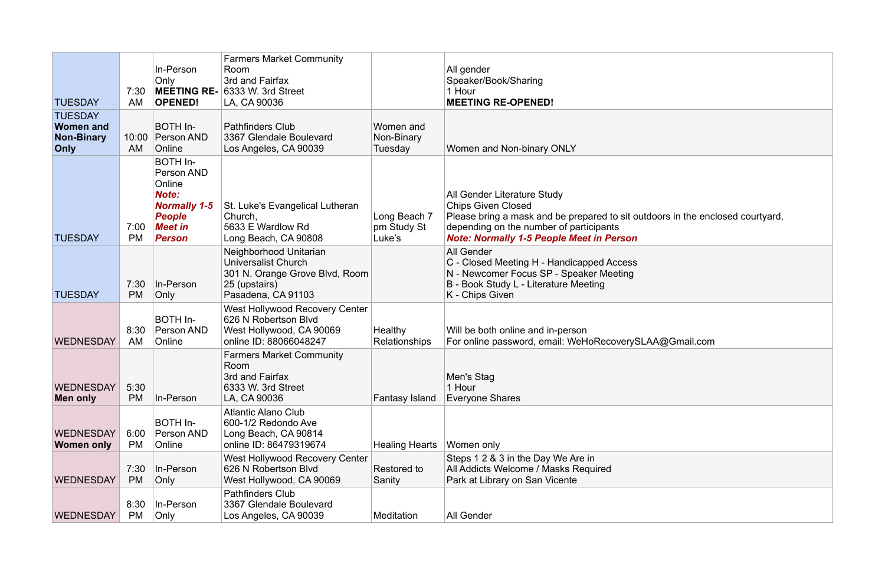| <b>TUESDAY</b>                                                         | 7:30<br>AM        | In-Person<br>Only<br><b>OPENED!</b>                                                                                         | <b>Farmers Market Community</b><br>Room<br>3rd and Fairfax<br><b>MEETING RE- 6333 W. 3rd Street</b><br>LA, CA 90036           |                                        | All gender<br>Speaker/Book/Sharing<br>1 Hour<br><b>MEETING RE-OPENED!</b>                                                                                                                                                  |
|------------------------------------------------------------------------|-------------------|-----------------------------------------------------------------------------------------------------------------------------|-------------------------------------------------------------------------------------------------------------------------------|----------------------------------------|----------------------------------------------------------------------------------------------------------------------------------------------------------------------------------------------------------------------------|
| <b>TUESDAY</b><br><b>Women and</b><br><b>Non-Binary</b><br><b>Only</b> | 10:00<br>AM       | BOTH In-<br><b>Person AND</b><br>Online                                                                                     | <b>Pathfinders Club</b><br>3367 Glendale Boulevard<br>Los Angeles, CA 90039                                                   | Women and<br>Non-Binary<br>Tuesday     | Women and Non-binary ONLY                                                                                                                                                                                                  |
| <b>TUESDAY</b>                                                         | 7:00<br><b>PM</b> | BOTH In-<br>Person AND<br>Online<br><b>Note:</b><br><b>Normally 1-5</b><br><b>People</b><br><b>Meet in</b><br><b>Person</b> | St. Luke's Evangelical Lutheran<br>Church,<br>5633 E Wardlow Rd<br>Long Beach, CA 90808                                       | Long Beach 7<br>pm Study St<br>Luke's  | All Gender Literature Study<br><b>Chips Given Closed</b><br>Please bring a mask and be prepared to sit outdoors in the enclo<br>depending on the number of participants<br><b>Note: Normally 1-5 People Meet in Person</b> |
| <b>TUESDAY</b>                                                         | 7:30<br><b>PM</b> | In-Person<br>Only                                                                                                           | Neighborhood Unitarian<br><b>Universalist Church</b><br>301 N. Orange Grove Blvd, Room<br>25 (upstairs)<br>Pasadena, CA 91103 |                                        | <b>All Gender</b><br>C - Closed Meeting H - Handicapped Access<br>N - Newcomer Focus SP - Speaker Meeting<br>B - Book Study L - Literature Meeting<br>K - Chips Given                                                      |
| <b>WEDNESDAY</b>                                                       | 8:30<br>AM        | BOTH In-<br>Person AND<br>Online                                                                                            | <b>West Hollywood Recovery Center</b><br>626 N Robertson Blvd<br>West Hollywood, CA 90069<br>online ID: 88066048247           | <b>Healthy</b><br><b>Relationships</b> | Will be both online and in-person<br>For online password, email: WeHoRecoverySLAA@Gmail.com                                                                                                                                |
| <b>WEDNESDAY</b><br>Men only                                           | 5:30<br><b>PM</b> | In-Person                                                                                                                   | <b>Farmers Market Community</b><br>Room<br>3rd and Fairfax<br>6333 W. 3rd Street<br>LA, CA 90036                              | <b>Fantasy Island</b>                  | Men's Stag<br>1 Hour<br>Everyone Shares                                                                                                                                                                                    |
| <b>WEDNESDAY</b><br>Women only                                         | 6:00<br><b>PM</b> | BOTH In-<br>Person AND<br>Online                                                                                            | <b>Atlantic Alano Club</b><br>600-1/2 Redondo Ave<br>Long Beach, CA 90814<br>online ID: 86479319674                           | <b>Healing Hearts</b>                  | Women only                                                                                                                                                                                                                 |
| <b>WEDNESDAY</b>                                                       | 7:30<br><b>PM</b> | In-Person<br>Only                                                                                                           | <b>West Hollywood Recovery Center</b><br>626 N Robertson Blvd<br>West Hollywood, CA 90069                                     | Restored to<br>Sanity                  | Steps 1 2 & 3 in the Day We Are in<br>All Addicts Welcome / Masks Required<br>Park at Library on San Vicente                                                                                                               |
| <b>WEDNESDAY</b>                                                       | 8:30<br><b>PM</b> | In-Person<br>Only                                                                                                           | <b>Pathfinders Club</b><br>3367 Glendale Boulevard<br>Los Angeles, CA 90039                                                   | <b>Meditation</b>                      | All Gender                                                                                                                                                                                                                 |

| sit outdoors in the enclosed courtyard,<br>rson |
|-------------------------------------------------|
| cess<br>ting                                    |
| verySLAA@Gmail.com                              |
|                                                 |
|                                                 |
|                                                 |
|                                                 |